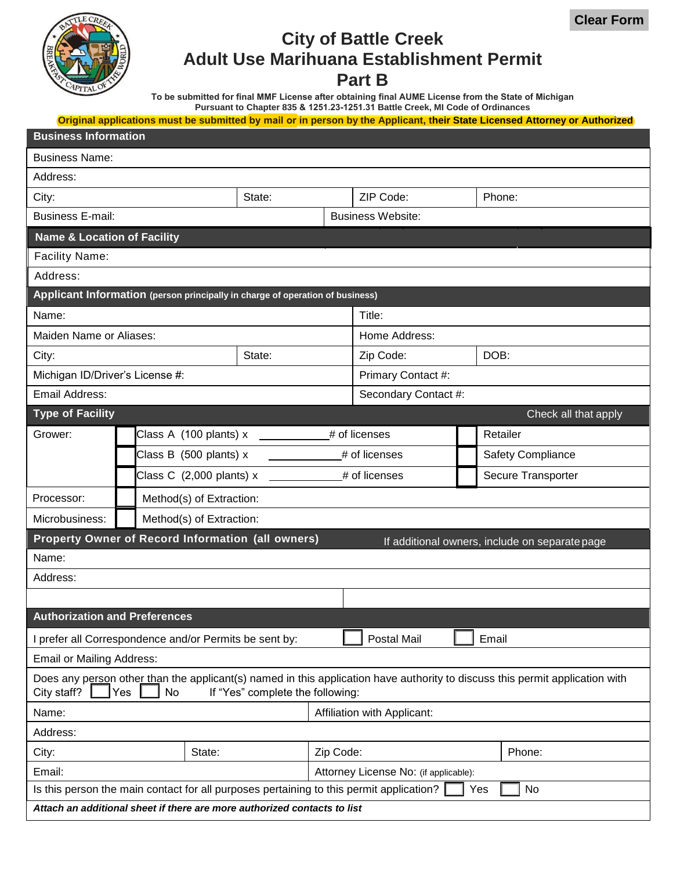

# **City of Battle Creek Adult Use Marihuana Establishment Permit**

### **Part B**

**To be submitted for final MMF License after obtaining final AUME License from the State of Michigan Pursuant to Chapter 835 & 1251.23-1251.31 Battle Creek, MI Code of Ordinances**

**Original applications must be submitted by mail or in person by the Applicant, their State Licensed Attorney or Authorized**

| <b>Business Information</b>                                                                                                                                                                  |                            |        |                             |               |                                       |  |                                                |  |  |
|----------------------------------------------------------------------------------------------------------------------------------------------------------------------------------------------|----------------------------|--------|-----------------------------|---------------|---------------------------------------|--|------------------------------------------------|--|--|
| <b>Business Name:</b>                                                                                                                                                                        |                            |        |                             |               |                                       |  |                                                |  |  |
| Address:                                                                                                                                                                                     |                            |        |                             |               |                                       |  |                                                |  |  |
| City:                                                                                                                                                                                        |                            |        | State:                      |               | ZIP Code:                             |  | Phone:                                         |  |  |
| <b>Business E-mail:</b>                                                                                                                                                                      |                            |        |                             |               | <b>Business Website:</b>              |  |                                                |  |  |
| <b>Name &amp; Location of Facility</b>                                                                                                                                                       |                            |        |                             |               |                                       |  |                                                |  |  |
| <b>Facility Name:</b>                                                                                                                                                                        |                            |        |                             |               |                                       |  |                                                |  |  |
| Address:                                                                                                                                                                                     |                            |        |                             |               |                                       |  |                                                |  |  |
| Applicant Information (person principally in charge of operation of business)                                                                                                                |                            |        |                             |               |                                       |  |                                                |  |  |
| Name:                                                                                                                                                                                        |                            |        |                             |               | Title:                                |  |                                                |  |  |
| Maiden Name or Aliases:                                                                                                                                                                      |                            |        |                             |               | Home Address:                         |  |                                                |  |  |
| City:                                                                                                                                                                                        |                            |        | State:                      |               | Zip Code:                             |  | DOB:                                           |  |  |
| Michigan ID/Driver's License #:                                                                                                                                                              |                            |        |                             |               | Primary Contact #:                    |  |                                                |  |  |
| Email Address:                                                                                                                                                                               |                            |        |                             |               | Secondary Contact #:                  |  |                                                |  |  |
| <b>Type of Facility</b>                                                                                                                                                                      |                            |        |                             |               |                                       |  | Check all that apply                           |  |  |
| Grower:                                                                                                                                                                                      | Class A (100 plants) x     |        |                             | # of licenses |                                       |  | Retailer                                       |  |  |
|                                                                                                                                                                                              | Class B (500 plants) x     |        |                             |               | # of licenses                         |  | Safety Compliance                              |  |  |
|                                                                                                                                                                                              | Class C $(2,000$ plants) x |        |                             |               | # of licenses                         |  | Secure Transporter                             |  |  |
| Processor:                                                                                                                                                                                   | Method(s) of Extraction:   |        |                             |               |                                       |  |                                                |  |  |
| Microbusiness:                                                                                                                                                                               | Method(s) of Extraction:   |        |                             |               |                                       |  |                                                |  |  |
| Property Owner of Record Information (all owners)                                                                                                                                            |                            |        |                             |               |                                       |  | If additional owners, include on separate page |  |  |
| Name:                                                                                                                                                                                        |                            |        |                             |               |                                       |  |                                                |  |  |
| Address:                                                                                                                                                                                     |                            |        |                             |               |                                       |  |                                                |  |  |
|                                                                                                                                                                                              |                            |        |                             |               |                                       |  |                                                |  |  |
| <b>Authorization and Preferences</b>                                                                                                                                                         |                            |        |                             |               |                                       |  |                                                |  |  |
| I prefer all Correspondence and/or Permits be sent by:                                                                                                                                       |                            |        |                             |               | Postal Mail                           |  | Email                                          |  |  |
| Email or Mailing Address:                                                                                                                                                                    |                            |        |                             |               |                                       |  |                                                |  |  |
| Does any person other than the applicant(s) named in this application have authority to discuss this permit application with<br>City staff?<br>Yes<br>No<br>If "Yes" complete the following: |                            |        |                             |               |                                       |  |                                                |  |  |
| Name:                                                                                                                                                                                        |                            |        | Affiliation with Applicant: |               |                                       |  |                                                |  |  |
| Address:                                                                                                                                                                                     |                            |        |                             |               |                                       |  |                                                |  |  |
| City:                                                                                                                                                                                        |                            | State: |                             | Zip Code:     |                                       |  | Phone:                                         |  |  |
| Email:                                                                                                                                                                                       |                            |        |                             |               | Attorney License No: (if applicable): |  |                                                |  |  |
| Is this person the main contact for all purposes pertaining to this permit application?<br><b>No</b><br>Yes                                                                                  |                            |        |                             |               |                                       |  |                                                |  |  |
| Attach an additional sheet if there are more authorized contacts to list                                                                                                                     |                            |        |                             |               |                                       |  |                                                |  |  |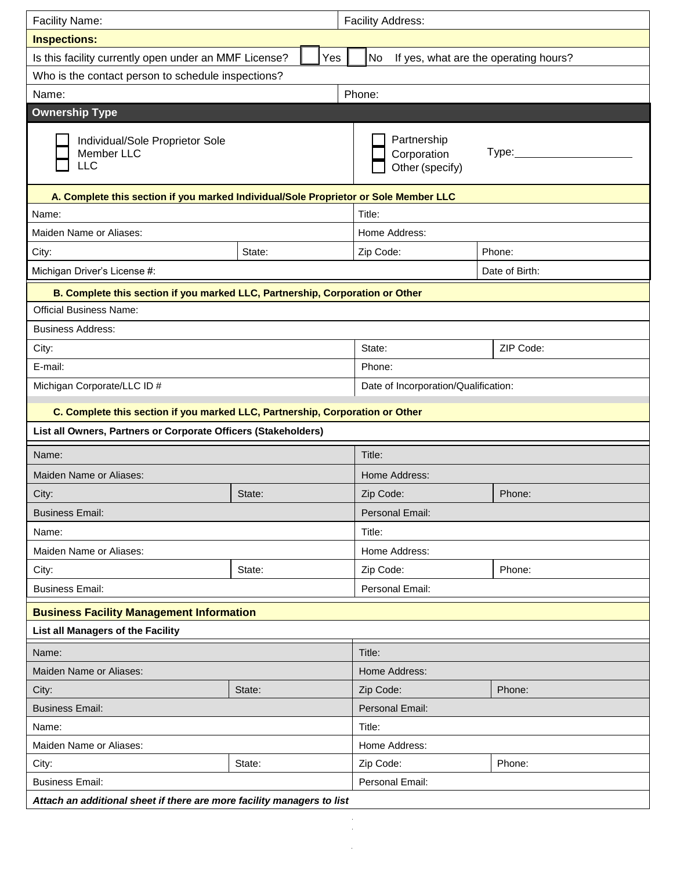| <b>Facility Name:</b>                                                                |        | Facility Address:                             |                                       |  |  |
|--------------------------------------------------------------------------------------|--------|-----------------------------------------------|---------------------------------------|--|--|
| <b>Inspections:</b>                                                                  |        |                                               |                                       |  |  |
| Is this facility currently open under an MMF License?                                | Yes    | No                                            | If yes, what are the operating hours? |  |  |
| Who is the contact person to schedule inspections?                                   |        |                                               |                                       |  |  |
| Name:                                                                                |        | Phone:                                        |                                       |  |  |
| <b>Ownership Type</b>                                                                |        |                                               |                                       |  |  |
| Individual/Sole Proprietor Sole<br>Member LLC<br>LLC                                 |        | Partnership<br>Corporation<br>Other (specify) | Type:                                 |  |  |
| A. Complete this section if you marked Individual/Sole Proprietor or Sole Member LLC |        |                                               |                                       |  |  |
| Name:                                                                                |        | Title:                                        |                                       |  |  |
| Maiden Name or Aliases:                                                              |        | Home Address:                                 |                                       |  |  |
| City:                                                                                | State: | Zip Code:                                     | Phone:                                |  |  |
| Michigan Driver's License #:                                                         |        |                                               | Date of Birth:                        |  |  |
| B. Complete this section if you marked LLC, Partnership, Corporation or Other        |        |                                               |                                       |  |  |
| <b>Official Business Name:</b>                                                       |        |                                               |                                       |  |  |
| <b>Business Address:</b>                                                             |        |                                               |                                       |  |  |
| City:                                                                                |        | State:                                        | ZIP Code:                             |  |  |
| E-mail:                                                                              |        | Phone:                                        |                                       |  |  |
| Michigan Corporate/LLC ID #<br>Date of Incorporation/Qualification:                  |        |                                               |                                       |  |  |
| C. Complete this section if you marked LLC, Partnership, Corporation or Other        |        |                                               |                                       |  |  |
| List all Owners, Partners or Corporate Officers (Stakeholders)                       |        |                                               |                                       |  |  |
| Name:                                                                                |        | Title:                                        |                                       |  |  |
| Maiden Name or Aliases:                                                              |        | Home Address:                                 |                                       |  |  |
| City:                                                                                | State: | Zip Code:                                     | Phone:                                |  |  |
| <b>Business Email:</b>                                                               |        | Personal Email:                               |                                       |  |  |
| Name:                                                                                |        | Title:                                        |                                       |  |  |
| Maiden Name or Aliases:                                                              |        | Home Address:                                 |                                       |  |  |
| City:                                                                                | State: | Zip Code:                                     | Phone:                                |  |  |
| <b>Business Email:</b>                                                               |        | Personal Email:                               |                                       |  |  |
| <b>Business Facility Management Information</b>                                      |        |                                               |                                       |  |  |
| List all Managers of the Facility                                                    |        |                                               |                                       |  |  |
| Name:                                                                                |        | Title:                                        |                                       |  |  |
| Maiden Name or Aliases:                                                              |        | Home Address:                                 |                                       |  |  |
| City:                                                                                | State: | Zip Code:                                     | Phone:                                |  |  |
| <b>Business Email:</b>                                                               |        | Personal Email:                               |                                       |  |  |
| Name:                                                                                |        | Title:                                        |                                       |  |  |
| Maiden Name or Aliases:                                                              |        | Home Address:                                 |                                       |  |  |
| City:                                                                                | State: | Zip Code:                                     | Phone:                                |  |  |
| <b>Business Email:</b>                                                               |        | Personal Email:                               |                                       |  |  |
| Attach an additional sheet if there are more facility managers to list               |        |                                               |                                       |  |  |
|                                                                                      |        |                                               |                                       |  |  |
|                                                                                      |        |                                               |                                       |  |  |

 $\bar{\phi}$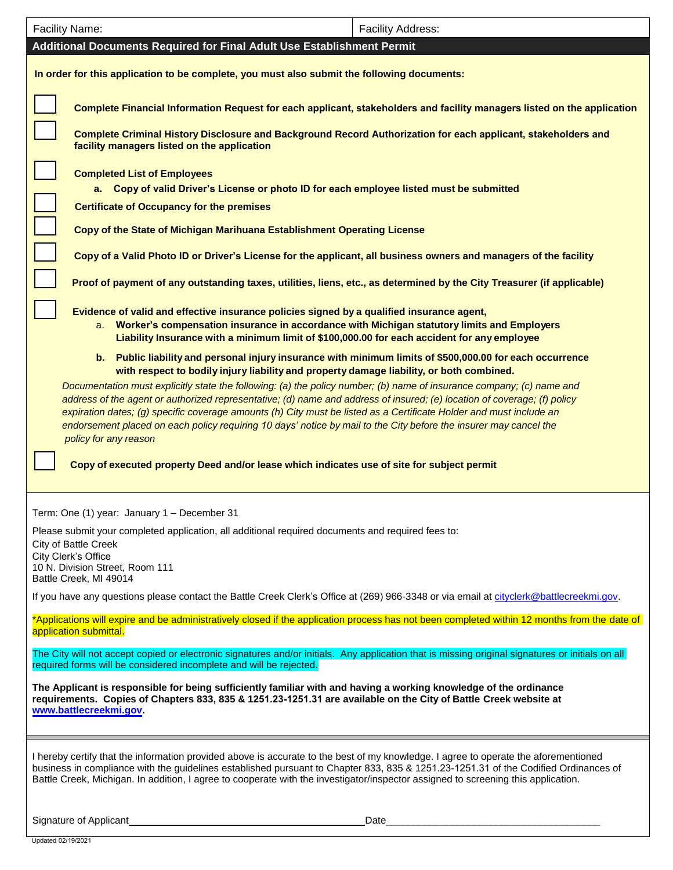| <b>Facility Name:</b>                                                                                                                                                                                                                                                                                                                                                                                                                                                                                                                                                                                                | <b>Facility Address:</b> |  |  |  |  |  |  |  |
|----------------------------------------------------------------------------------------------------------------------------------------------------------------------------------------------------------------------------------------------------------------------------------------------------------------------------------------------------------------------------------------------------------------------------------------------------------------------------------------------------------------------------------------------------------------------------------------------------------------------|--------------------------|--|--|--|--|--|--|--|
| Additional Documents Required for Final Adult Use Establishment Permit                                                                                                                                                                                                                                                                                                                                                                                                                                                                                                                                               |                          |  |  |  |  |  |  |  |
| In order for this application to be complete, you must also submit the following documents:                                                                                                                                                                                                                                                                                                                                                                                                                                                                                                                          |                          |  |  |  |  |  |  |  |
| Complete Financial Information Request for each applicant, stakeholders and facility managers listed on the application                                                                                                                                                                                                                                                                                                                                                                                                                                                                                              |                          |  |  |  |  |  |  |  |
| Complete Criminal History Disclosure and Background Record Authorization for each applicant, stakeholders and<br>facility managers listed on the application                                                                                                                                                                                                                                                                                                                                                                                                                                                         |                          |  |  |  |  |  |  |  |
| <b>Completed List of Employees</b><br>a. Copy of valid Driver's License or photo ID for each employee listed must be submitted                                                                                                                                                                                                                                                                                                                                                                                                                                                                                       |                          |  |  |  |  |  |  |  |
| <b>Certificate of Occupancy for the premises</b>                                                                                                                                                                                                                                                                                                                                                                                                                                                                                                                                                                     |                          |  |  |  |  |  |  |  |
| Copy of the State of Michigan Marihuana Establishment Operating License                                                                                                                                                                                                                                                                                                                                                                                                                                                                                                                                              |                          |  |  |  |  |  |  |  |
| Copy of a Valid Photo ID or Driver's License for the applicant, all business owners and managers of the facility                                                                                                                                                                                                                                                                                                                                                                                                                                                                                                     |                          |  |  |  |  |  |  |  |
| Proof of payment of any outstanding taxes, utilities, liens, etc., as determined by the City Treasurer (if applicable)                                                                                                                                                                                                                                                                                                                                                                                                                                                                                               |                          |  |  |  |  |  |  |  |
| Evidence of valid and effective insurance policies signed by a qualified insurance agent,<br>a. Worker's compensation insurance in accordance with Michigan statutory limits and Employers<br>Liability Insurance with a minimum limit of \$100,000.00 for each accident for any employee                                                                                                                                                                                                                                                                                                                            |                          |  |  |  |  |  |  |  |
| b. Public liability and personal injury insurance with minimum limits of \$500,000.00 for each occurrence<br>with respect to bodily injury liability and property damage liability, or both combined.                                                                                                                                                                                                                                                                                                                                                                                                                |                          |  |  |  |  |  |  |  |
| Documentation must explicitly state the following: (a) the policy number; (b) name of insurance company; (c) name and<br>address of the agent or authorized representative; (d) name and address of insured; (e) location of coverage; (f) policy<br>expiration dates; (g) specific coverage amounts (h) City must be listed as a Certificate Holder and must include an<br>endorsement placed on each policy requiring 10 days' notice by mail to the City before the insurer may cancel the<br>policy for any reason<br>Copy of executed property Deed and/or lease which indicates use of site for subject permit |                          |  |  |  |  |  |  |  |
| Term: One (1) year: January 1 - December 31                                                                                                                                                                                                                                                                                                                                                                                                                                                                                                                                                                          |                          |  |  |  |  |  |  |  |
| Please submit your completed application, all additional required documents and required fees to:                                                                                                                                                                                                                                                                                                                                                                                                                                                                                                                    |                          |  |  |  |  |  |  |  |
| City of Battle Creek<br>City Clerk's Office                                                                                                                                                                                                                                                                                                                                                                                                                                                                                                                                                                          |                          |  |  |  |  |  |  |  |
| 10 N. Division Street, Room 111<br>Battle Creek, MI 49014                                                                                                                                                                                                                                                                                                                                                                                                                                                                                                                                                            |                          |  |  |  |  |  |  |  |
| If you have any questions please contact the Battle Creek Clerk's Office at (269) 966-3348 or via email at cityclerk@battlecreekmi.gov.                                                                                                                                                                                                                                                                                                                                                                                                                                                                              |                          |  |  |  |  |  |  |  |
| *Applications will expire and be administratively closed if the application process has not been completed within 12 months from the date of<br>application submittal.                                                                                                                                                                                                                                                                                                                                                                                                                                               |                          |  |  |  |  |  |  |  |
| The City will not accept copied or electronic signatures and/or initials. Any application that is missing original signatures or initials on all<br>required forms will be considered incomplete and will be rejected.                                                                                                                                                                                                                                                                                                                                                                                               |                          |  |  |  |  |  |  |  |
| The Applicant is responsible for being sufficiently familiar with and having a working knowledge of the ordinance<br>requirements. Copies of Chapters 833, 835 & 1251.23-1251.31 are available on the City of Battle Creek website at<br>www.battlecreekmi.gov.                                                                                                                                                                                                                                                                                                                                                      |                          |  |  |  |  |  |  |  |
| I hereby certify that the information provided above is accurate to the best of my knowledge. I agree to operate the aforementioned<br>business in compliance with the guidelines established pursuant to Chapter 833, 835 & 1251.23-1251.31 of the Codified Ordinances of<br>Battle Creek, Michigan. In addition, I agree to cooperate with the investigator/inspector assigned to screening this application.                                                                                                                                                                                                      |                          |  |  |  |  |  |  |  |
| Signature of Applicant<br>Date                                                                                                                                                                                                                                                                                                                                                                                                                                                                                                                                                                                       |                          |  |  |  |  |  |  |  |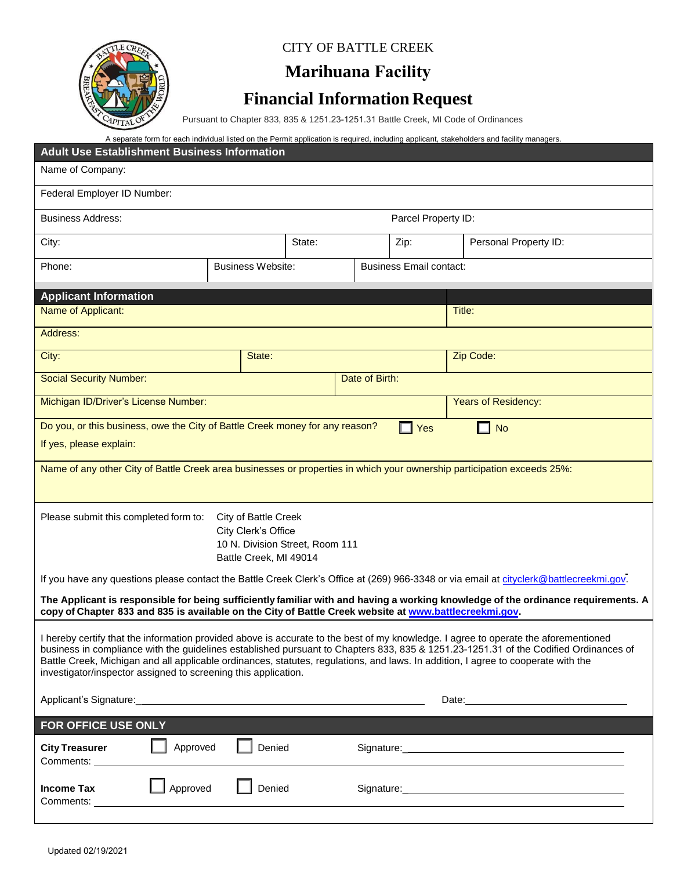

#### CITY OF BATTLE CREEK

## **Marihuana Facility**

## **Financial Information Request**

Pursuant to Chapter 833, 835 & 1251.23-1251.31 Battle Creek, MI Code of Ordinances

|                                                                                                                                                                                                                                                                             |                                                        |        |                |                         | A separate form for each individual listed on the Permit application is required, including applicant, stakeholders and facility managers.                                                                                     |  |  |  |  |
|-----------------------------------------------------------------------------------------------------------------------------------------------------------------------------------------------------------------------------------------------------------------------------|--------------------------------------------------------|--------|----------------|-------------------------|--------------------------------------------------------------------------------------------------------------------------------------------------------------------------------------------------------------------------------|--|--|--|--|
| <b>Adult Use Establishment Business Information</b>                                                                                                                                                                                                                         |                                                        |        |                |                         |                                                                                                                                                                                                                                |  |  |  |  |
| Name of Company:                                                                                                                                                                                                                                                            |                                                        |        |                |                         |                                                                                                                                                                                                                                |  |  |  |  |
| Federal Employer ID Number:                                                                                                                                                                                                                                                 |                                                        |        |                |                         |                                                                                                                                                                                                                                |  |  |  |  |
| <b>Business Address:</b>                                                                                                                                                                                                                                                    | Parcel Property ID:                                    |        |                |                         |                                                                                                                                                                                                                                |  |  |  |  |
| City:                                                                                                                                                                                                                                                                       |                                                        | State: |                | Zip:                    | Personal Property ID:                                                                                                                                                                                                          |  |  |  |  |
| Phone:                                                                                                                                                                                                                                                                      | <b>Business Website:</b>                               |        |                | Business Email contact: |                                                                                                                                                                                                                                |  |  |  |  |
| <b>Applicant Information</b>                                                                                                                                                                                                                                                |                                                        |        |                |                         |                                                                                                                                                                                                                                |  |  |  |  |
| Name of Applicant:                                                                                                                                                                                                                                                          |                                                        |        |                |                         | Title:                                                                                                                                                                                                                         |  |  |  |  |
| Address:                                                                                                                                                                                                                                                                    |                                                        |        |                |                         |                                                                                                                                                                                                                                |  |  |  |  |
|                                                                                                                                                                                                                                                                             |                                                        |        |                |                         |                                                                                                                                                                                                                                |  |  |  |  |
| City:                                                                                                                                                                                                                                                                       | State:                                                 |        |                |                         | Zip Code:                                                                                                                                                                                                                      |  |  |  |  |
| <b>Social Security Number:</b>                                                                                                                                                                                                                                              |                                                        |        | Date of Birth: |                         |                                                                                                                                                                                                                                |  |  |  |  |
| Michigan ID/Driver's License Number:                                                                                                                                                                                                                                        |                                                        |        |                |                         | <b>Years of Residency:</b>                                                                                                                                                                                                     |  |  |  |  |
| Do you, or this business, owe the City of Battle Creek money for any reason?                                                                                                                                                                                                |                                                        |        |                | Yes                     | N <sub>o</sub><br>$\blacksquare$                                                                                                                                                                                               |  |  |  |  |
| If yes, please explain:                                                                                                                                                                                                                                                     |                                                        |        |                |                         |                                                                                                                                                                                                                                |  |  |  |  |
| Name of any other City of Battle Creek area businesses or properties in which your ownership participation exceeds 25%:                                                                                                                                                     |                                                        |        |                |                         |                                                                                                                                                                                                                                |  |  |  |  |
|                                                                                                                                                                                                                                                                             |                                                        |        |                |                         |                                                                                                                                                                                                                                |  |  |  |  |
|                                                                                                                                                                                                                                                                             |                                                        |        |                |                         |                                                                                                                                                                                                                                |  |  |  |  |
| Please submit this completed form to:                                                                                                                                                                                                                                       | City of Battle Creek                                   |        |                |                         |                                                                                                                                                                                                                                |  |  |  |  |
|                                                                                                                                                                                                                                                                             | City Clerk's Office<br>10 N. Division Street, Room 111 |        |                |                         |                                                                                                                                                                                                                                |  |  |  |  |
|                                                                                                                                                                                                                                                                             | Battle Creek, MI 49014                                 |        |                |                         |                                                                                                                                                                                                                                |  |  |  |  |
|                                                                                                                                                                                                                                                                             |                                                        |        |                |                         | If you have any questions please contact the Battle Creek Clerk's Office at (269) 966-3348 or via email at cityclerk@battlecreekmi.gov.                                                                                        |  |  |  |  |
| copy of Chapter 833 and 835 is available on the City of Battle Creek website at www.battlecreekmi.gov.                                                                                                                                                                      |                                                        |        |                |                         | The Applicant is responsible for being sufficiently familiar with and having a working knowledge of the ordinance requirements. A                                                                                              |  |  |  |  |
|                                                                                                                                                                                                                                                                             |                                                        |        |                |                         |                                                                                                                                                                                                                                |  |  |  |  |
| I hereby certify that the information provided above is accurate to the best of my knowledge. I agree to operate the aforementioned<br>business in compliance with the guidelines established pursuant to Chapters 833, 835 & 1251.23-1251.31 of the Codified Ordinances of |                                                        |        |                |                         |                                                                                                                                                                                                                                |  |  |  |  |
| Battle Creek, Michigan and all applicable ordinances, statutes, regulations, and laws. In addition, I agree to cooperate with the                                                                                                                                           |                                                        |        |                |                         |                                                                                                                                                                                                                                |  |  |  |  |
| investigator/inspector assigned to screening this application.                                                                                                                                                                                                              |                                                        |        |                |                         |                                                                                                                                                                                                                                |  |  |  |  |
|                                                                                                                                                                                                                                                                             |                                                        |        |                |                         | Date: Note: 2008                                                                                                                                                                                                               |  |  |  |  |
| FOR OFFICE USE ONLY                                                                                                                                                                                                                                                         |                                                        |        |                |                         |                                                                                                                                                                                                                                |  |  |  |  |
| Approved<br><b>City Treasurer</b>                                                                                                                                                                                                                                           | Denied                                                 |        |                |                         | Signature: the contract of the contract of the contract of the contract of the contract of the contract of the contract of the contract of the contract of the contract of the contract of the contract of the contract of the |  |  |  |  |
| Comments: __________                                                                                                                                                                                                                                                        |                                                        |        |                |                         |                                                                                                                                                                                                                                |  |  |  |  |
| Approved<br><b>Income Tax</b>                                                                                                                                                                                                                                               | Denied                                                 |        |                |                         |                                                                                                                                                                                                                                |  |  |  |  |
| Comments:                                                                                                                                                                                                                                                                   |                                                        |        |                |                         |                                                                                                                                                                                                                                |  |  |  |  |
|                                                                                                                                                                                                                                                                             |                                                        |        |                |                         |                                                                                                                                                                                                                                |  |  |  |  |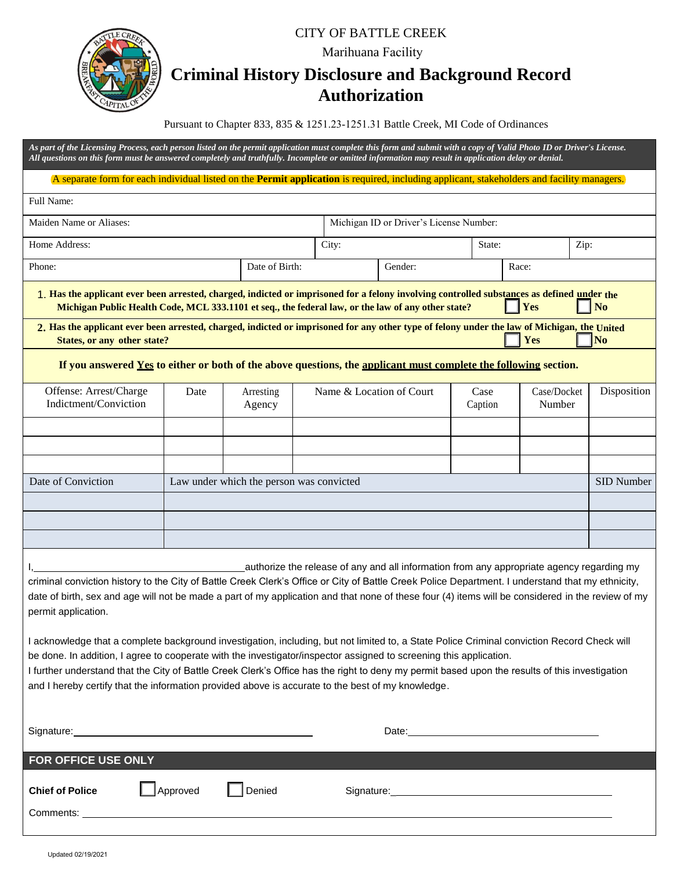#### CITY OF BATTLE CREEK

Marihuana Facility

## **Criminal History Disclosure and Background Record Authorization**

Pursuant to Chapter 833, 835 & 1251.23-1251.31 Battle Creek, MI Code of Ordinances

*As part of the Licensing Process, each person listed on the permit application must complete this form and submit with a copy of Valid Photo ID or Driver's License. All questions on this form must be answered completely and truthfully. Incomplete or omitted information may result in application delay or denial.*

A separate form for each individual listed on the **Permit application** is required, including applicant, stakeholders and facility managers.

| Full Name:                                                                                                                                                                                                                                       |                                          |                                         |                             |         |                 |                       |                    |
|--------------------------------------------------------------------------------------------------------------------------------------------------------------------------------------------------------------------------------------------------|------------------------------------------|-----------------------------------------|-----------------------------|---------|-----------------|-----------------------|--------------------|
| Maiden Name or Aliases:                                                                                                                                                                                                                          |                                          | Michigan ID or Driver's License Number: |                             |         |                 |                       |                    |
| Home Address:                                                                                                                                                                                                                                    | City:                                    |                                         | State:                      | Zip:    |                 |                       |                    |
| Phone:                                                                                                                                                                                                                                           |                                          | Date of Birth:                          |                             | Gender: |                 | Race:                 |                    |
| 1. Has the applicant ever been arrested, charged, indicted or imprisoned for a felony involving controlled substances as defined under the<br>Michigan Public Health Code, MCL 333.1101 et seq., the federal law, or the law of any other state? |                                          |                                         |                             |         |                 | Yes                   | N <sub>o</sub>     |
| 2. Has the applicant ever been arrested, charged, indicted or imprisoned for any other type of felony under the law of Michigan, the United<br>States, or any other state?                                                                       |                                          |                                         |                             |         |                 | <b>Yes</b>            | $\sqrt{\text{No}}$ |
| If you answered Yes to either or both of the above questions, the applicant must complete the following section.                                                                                                                                 |                                          |                                         |                             |         |                 |                       |                    |
| Offense: Arrest/Charge<br>Indictment/Conviction                                                                                                                                                                                                  | Date                                     | Arresting<br>Agency                     | Name $\&$ Location of Court |         | Case<br>Caption | Case/Docket<br>Number | Disposition        |
|                                                                                                                                                                                                                                                  |                                          |                                         |                             |         |                 |                       |                    |
|                                                                                                                                                                                                                                                  |                                          |                                         |                             |         |                 |                       |                    |
|                                                                                                                                                                                                                                                  |                                          |                                         |                             |         |                 |                       |                    |
| Date of Conviction                                                                                                                                                                                                                               | Law under which the person was convicted |                                         |                             |         |                 |                       | SID Number         |

I acknowledge that a complete background investigation, including, but not limited to, a State Police Criminal conviction Record Check will be done. In addition, I agree to cooperate with the investigator/inspector assigned to screening this application.

I, authorize the release of any and all information from any appropriate agency regarding my criminal conviction history to the City of Battle Creek Clerk's Office or City of Battle Creek Police Department. I understand that my ethnicity, date of birth, sex and age will not be made a part of my application and that none of these four (4) items will be considered in the review of my

I further understand that the City of Battle Creek Clerk's Office has the right to deny my permit based upon the results of this investigation and I hereby certify that the information provided above is accurate to the best of my knowledge.

| Signature: <u>contract and contract and contract and contract and contract and contract and contract and contract of the set of the set of the set of the set of the set of the set of the set of the set of the set of the set </u> |                                                                                |               | Date: |
|--------------------------------------------------------------------------------------------------------------------------------------------------------------------------------------------------------------------------------------|--------------------------------------------------------------------------------|---------------|-------|
| <b>FOR OFFICE USE ONLY</b>                                                                                                                                                                                                           |                                                                                |               |       |
| <b>Chief of Police</b><br>Comments:                                                                                                                                                                                                  | Approved<br><u> 1980 - Jan Samuel Barbara, margaret eta idazlea (h. 1980).</u> | <b>Denied</b> |       |

permit application.